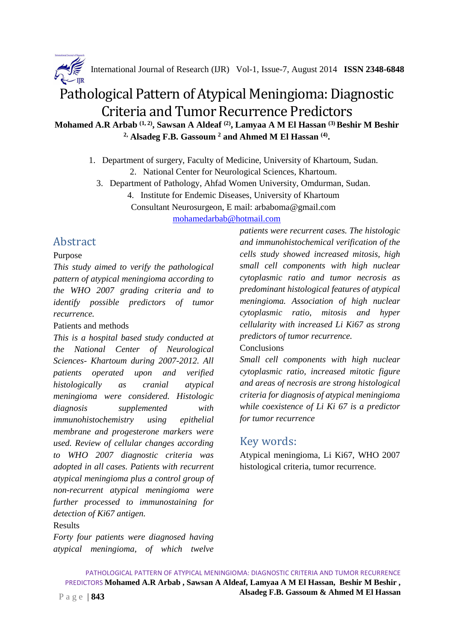

International Journal of Research (IJR) Vol-1, Issue-7, August 2014 **ISSN 2348-6848**

# Pathological Pattern of Atypical Meningioma: Diagnostic Criteria and Tumor Recurrence Predictors

**Mohamed A.R Arbab (1, 2), Sawsan A Aldeaf (2), Lamyaa A M El Hassan (3) Beshir M Beshir 2, Alsadeg F.B. Gassoum <sup>2</sup> and Ahmed M El Hassan (4) .** 

- 1. Department of surgery, Faculty of Medicine, University of Khartoum, Sudan. 2. National Center for Neurological Sciences, Khartoum.
	- 3. Department of Pathology, Ahfad Women University, Omdurman, Sudan.

4. Institute for Endemic Diseases, University of Khartoum

Consultant Neurosurgeon, E mail: arbaboma@gmail.com

mohamedarbab@hotmail.com

## Abstract

#### Purpose

*This study aimed to verify the pathological pattern of atypical meningioma according to the WHO 2007 grading criteria and to identify possible predictors of tumor recurrence.* 

#### Patients and methods

*This is a hospital based study conducted at the National Center of Neurological Sciences- Khartoum during 2007-2012. All patients operated upon and verified histologically as cranial atypical meningioma were considered. Histologic diagnosis supplemented with immunohistochemistry using epithelial membrane and progesterone markers were used. Review of cellular changes according to WHO 2007 diagnostic criteria was adopted in all cases. Patients with recurrent atypical meningioma plus a control group of non-recurrent atypical meningioma were further processed to immunostaining for detection of Ki67 antigen.* 

#### Results

*Forty four patients were diagnosed having atypical meningioma, of which twelve*  *patients were recurrent cases. The histologic and immunohistochemical verification of the cells study showed increased mitosis, high small cell components with high nuclear cytoplasmic ratio and tumor necrosis as predominant histological features of atypical meningioma. Association of high nuclear cytoplasmic ratio, mitosis and hyper cellularity with increased Li Ki67 as strong predictors of tumor recurrence.* 

#### **Conclusions**

*Small cell components with high nuclear cytoplasmic ratio, increased mitotic figure and areas of necrosis are strong histological criteria for diagnosis of atypical meningioma while coexistence of Li Ki 67 is a predictor for tumor recurrence* 

### Key words:

Atypical meningioma, Li Ki67, WHO 2007 histological criteria, tumor recurrence.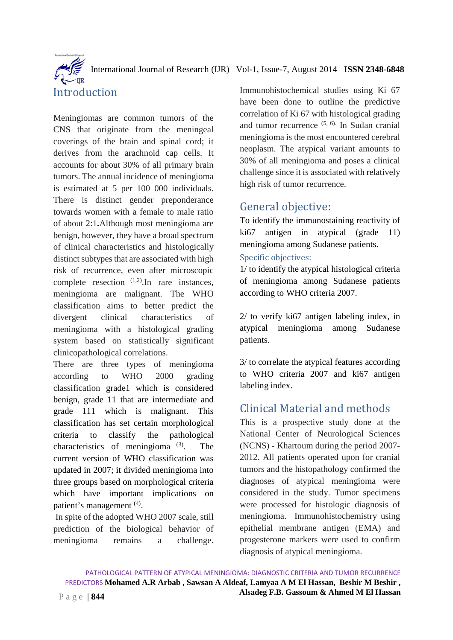International Journal of Research (IJR) Vol-1, Issue-7, August 2014 **ISSN 2348-6848** Introduction

Meningiomas are common tumors of the CNS that originate from the meningeal coverings of the brain and spinal cord; it derives from the arachnoid cap cells. It accounts for about 30% of all primary brain tumors. The annual incidence of meningioma is estimated at 5 per 100 000 individuals. There is distinct gender preponderance towards women with a female to male ratio of about 2:1**.**Although most meningioma are benign, however, they have a broad spectrum of clinical characteristics and histologically distinct subtypes that are associated with high risk of recurrence, even after microscopic complete resection  $(1,2)$ . In rare instances, meningioma are malignant. The WHO classification aims to better predict the divergent clinical characteristics of meningioma with a histological grading system based on statistically significant clinicopathological correlations.

There are three types of meningioma according to WHO 2000 grading classification grade1 which is considered benign, grade 11 that are intermediate and grade 111 which is malignant. This classification has set certain morphological criteria to classify the pathological characteristics of meningioma (3). The current version of WHO classification was updated in 2007; it divided meningioma into three groups based on morphological criteria which have important implications on patient's management <sup>(4)</sup>.

 In spite of the adopted WHO 2007 scale, still prediction of the biological behavior of meningioma remains a challenge.

Immunohistochemical studies using Ki 67 have been done to outline the predictive correlation of Ki 67 with histological grading and tumor recurrence  $(5, 6)$ . In Sudan cranial meningioma is the most encountered cerebral neoplasm. The atypical variant amounts to 30% of all meningioma and poses a clinical challenge since it is associated with relatively high risk of tumor recurrence.

## General objective:

To identify the immunostaining reactivity of ki67 antigen in atypical (grade 11) meningioma among Sudanese patients.

#### Specific objectives:

1/ to identify the atypical histological criteria of meningioma among Sudanese patients according to WHO criteria 2007.

2/ to verify ki67 antigen labeling index, in atypical meningioma among Sudanese patients.

3/ to correlate the atypical features according to WHO criteria 2007 and ki67 antigen labeling index.

# Clinical Material and methods

This is a prospective study done at the National Center of Neurological Sciences (NCNS) - Khartoum during the period 2007- 2012. All patients operated upon for cranial tumors and the histopathology confirmed the diagnoses of atypical meningioma were considered in the study. Tumor specimens were processed for histologic diagnosis of meningioma. Immunohistochemistry using epithelial membrane antigen (EMA) and progesterone markers were used to confirm diagnosis of atypical meningioma.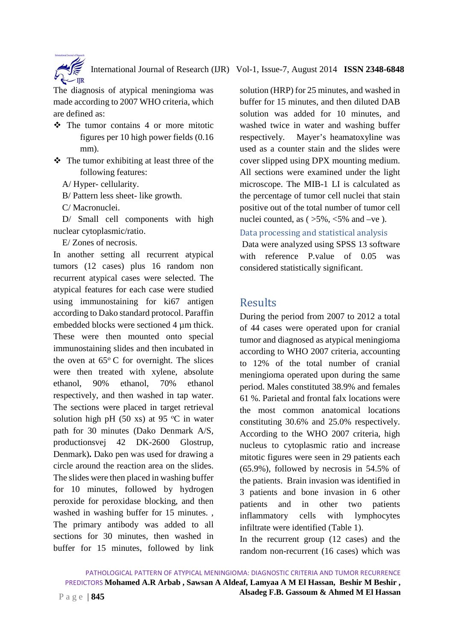

International Journal of Research (IJR) Vol-1, Issue-7, August 2014 **ISSN 2348-6848**

The diagnosis of atypical meningioma was made according to 2007 WHO criteria, which are defined as:

- $\div$  The tumor contains 4 or more mitotic figures per 10 high power fields (0.16 mm).
- The tumor exhibiting at least three of the following features:

A/ Hyper- cellularity.

B/ Pattern less sheet- like growth.

C/ Macronuclei.

 D/ Small cell components with high nuclear cytoplasmic/ratio.

E/ Zones of necrosis.

In another setting all recurrent atypical tumors (12 cases) plus 16 random non recurrent atypical cases were selected. The atypical features for each case were studied using immunostaining for ki67 antigen according to Dako standard protocol. Paraffin embedded blocks were sectioned 4 µm thick. These were then mounted onto special immunostaining slides and then incubated in the oven at  $65^{\circ}$  C for overnight. The slices were then treated with xylene, absolute ethanol, 90% ethanol, 70% ethanol respectively, and then washed in tap water. The sections were placed in target retrieval solution high pH (50 xs) at 95  $\degree$ C in water path for 30 minutes (Dako Denmark A/S, productionsvej 42 DK-2600 Glostrup, Denmark)**.** Dako pen was used for drawing a circle around the reaction area on the slides. The slides were then placed in washing buffer for 10 minutes, followed by hydrogen peroxide for peroxidase blocking, and then washed in washing buffer for 15 minutes. , The primary antibody was added to all sections for 30 minutes, then washed in buffer for 15 minutes, followed by link

solution (HRP) for 25 minutes, and washed in buffer for 15 minutes, and then diluted DAB solution was added for 10 minutes, and washed twice in water and washing buffer respectively. Mayer's heamatoxyline was used as a counter stain and the slides were cover slipped using DPX mounting medium. All sections were examined under the light microscope. The MIB-1 LI is calculated as the percentage of tumor cell nuclei that stain positive out of the total number of tumor cell nuclei counted, as  $( >5\%, <5\%$  and –ve).

Data processing and statistical analysis

Data were analyzed using SPSS 13 software with reference P.value of 0.05 was considered statistically significant.

### Results

During the period from 2007 to 2012 a total of 44 cases were operated upon for cranial tumor and diagnosed as atypical meningioma according to WHO 2007 criteria, accounting to 12% of the total number of cranial meningioma operated upon during the same period. Males constituted 38.9% and females 61 %. Parietal and frontal falx locations were the most common anatomical locations constituting 30.6% and 25.0% respectively. According to the WHO 2007 criteria, high nucleus to cytoplasmic ratio and increase mitotic figures were seen in 29 patients each (65.9%), followed by necrosis in 54.5% of the patients. Brain invasion was identified in 3 patients and bone invasion in 6 other patients and in other two patients inflammatory cells with lymphocytes infiltrate were identified (Table 1).

In the recurrent group (12 cases) and the random non-recurrent (16 cases) which was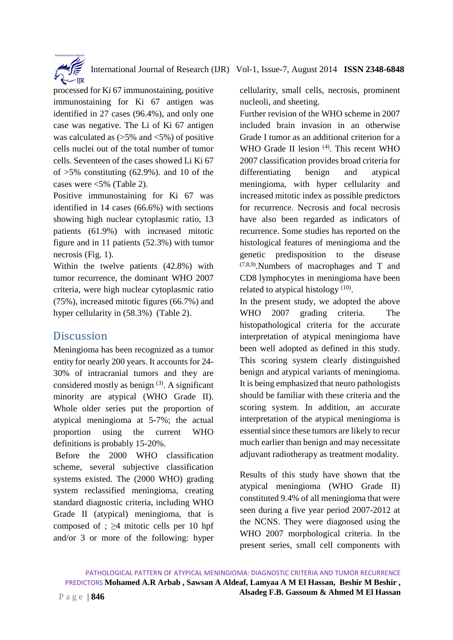

processed for Ki 67 immunostaining, positive immunostaining for Ki 67 antigen was identified in 27 cases (96.4%), and only one case was negative. The Li of Ki 67 antigen was calculated as  $(5\% \text{ and } 5\%)$  of positive cells nuclei out of the total number of tumor cells. Seventeen of the cases showed Li Ki 67 of  $>5\%$  constituting (62.9%). and 10 of the cases were <5% (Table 2).

Positive immunostaining for Ki 67 was identified in 14 cases (66.6%) with sections showing high nuclear cytoplasmic ratio, 13 patients (61.9%) with increased mitotic figure and in 11 patients (52.3%) with tumor necrosis (Fig. 1).

Within the twelve patients (42.8%) with tumor recurrence, the dominant WHO 2007 criteria, were high nuclear cytoplasmic ratio (75%), increased mitotic figures (66.7%) and hyper cellularity in (58.3%) (Table 2).

### **Discussion**

Meningioma has been recognized as a tumor entity for nearly 200 years. It accounts for 24- 30% of intracranial tumors and they are considered mostly as benign  $(3)$ . A significant minority are atypical (WHO Grade II). Whole older series put the proportion of atypical meningioma at 5-7%; the actual proportion using the current WHO definitions is probably 15-20%.

Before the 2000 WHO classification scheme, several subjective classification systems existed. The (2000 WHO) grading system reclassified meningioma, creating standard diagnostic criteria, including WHO Grade II (atypical) meningioma, that is composed of ;  $\geq$ 4 mitotic cells per 10 hpf and/or 3 or more of the following: hyper

cellularity, small cells, necrosis, prominent nucleoli, and sheeting.

Further revision of the WHO scheme in 2007 included brain invasion in an otherwise Grade I tumor as an additional criterion for a WHO Grade II lesion <sup>(4)</sup>. This recent WHO 2007 classification provides broad criteria for differentiating benign and atypical meningioma, with hyper cellularity and increased mitotic index as possible predictors for recurrence. Necrosis and focal necrosis have also been regarded as indicators of recurrence. Some studies has reported on the histological features of meningioma and the genetic predisposition to the disease (7,8,9).Numbers of macrophages and T and CD8 lymphocytes in meningioma have been related to atypical histology (10).

In the present study, we adopted the above WHO 2007 grading criteria. The histopathological criteria for the accurate interpretation of atypical meningioma have been well adopted as defined in this study. This scoring system clearly distinguished benign and atypical variants of meningioma. It is being emphasized that neuro pathologists should be familiar with these criteria and the scoring system. In addition, an accurate interpretation of the atypical meningioma is essential since these tumors are likely to recur much earlier than benign and may necessitate adjuvant radiotherapy as treatment modality.

Results of this study have shown that the atypical meningioma (WHO Grade II) constituted 9.4% of all meningioma that were seen during a five year period 2007-2012 at the NCNS. They were diagnosed using the WHO 2007 morphological criteria. In the present series, small cell components with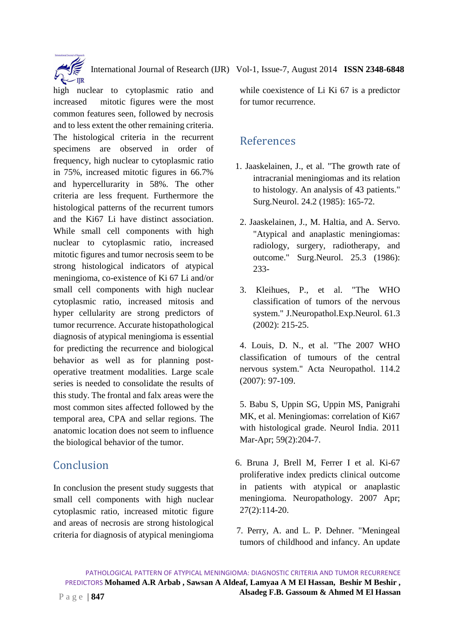International Journal of Research (IJR) Vol-1, Issue-7, August 2014 **ISSN 2348-6848**

high nuclear to cytoplasmic ratio and increased mitotic figures were the most common features seen, followed by necrosis and to less extent the other remaining criteria. The histological criteria in the recurrent specimens are observed in order of frequency, high nuclear to cytoplasmic ratio in 75%, increased mitotic figures in 66.7% and hypercellurarity in 58%. The other criteria are less frequent. Furthermore the histological patterns of the recurrent tumors and the Ki67 Li have distinct association. While small cell components with high nuclear to cytoplasmic ratio, increased mitotic figures and tumor necrosis seem to be strong histological indicators of atypical meningioma, co-existence of Ki 67 Li and/or small cell components with high nuclear cytoplasmic ratio, increased mitosis and hyper cellularity are strong predictors of tumor recurrence. Accurate histopathological diagnosis of atypical meningioma is essential for predicting the recurrence and biological behavior as well as for planning postoperative treatment modalities. Large scale series is needed to consolidate the results of this study. The frontal and falx areas were the most common sites affected followed by the temporal area, CPA and sellar regions. The anatomic location does not seem to influence the biological behavior of the tumor.

# **Conclusion**

In conclusion the present study suggests that small cell components with high nuclear cytoplasmic ratio, increased mitotic figure and areas of necrosis are strong histological criteria for diagnosis of atypical meningioma

while coexistence of Li Ki 67 is a predictor for tumor recurrence.

# References

- 1. Jaaskelainen, J., et al. "The growth rate of intracranial meningiomas and its relation to histology. An analysis of 43 patients." Surg.Neurol. 24.2 (1985): 165-72.
- 2. Jaaskelainen, J., M. Haltia, and A. Servo. "Atypical and anaplastic meningiomas: radiology, surgery, radiotherapy, and outcome." Surg.Neurol. 25.3 (1986): 233-
- 3. Kleihues, P., et al. "The WHO classification of tumors of the nervous system." J.Neuropathol.Exp.Neurol. 61.3 (2002): 215-25.

4. Louis, D. N., et al. "The 2007 WHO classification of tumours of the central nervous system." Acta Neuropathol. 114.2 (2007): 97-109.

5. Babu S, Uppin SG, Uppin MS, Panigrahi MK, et al. Meningiomas: correlation of Ki67 with histological grade. Neurol India. 2011 Mar-Apr; 59(2):204-7.

- 6. Bruna J, Brell M, Ferrer I et al. Ki-67 proliferative index predicts clinical outcome in patients with atypical or anaplastic meningioma. Neuropathology. 2007 Apr; 27(2):114-20.
- 7. Perry, A. and L. P. Dehner. "Meningeal tumors of childhood and infancy. An update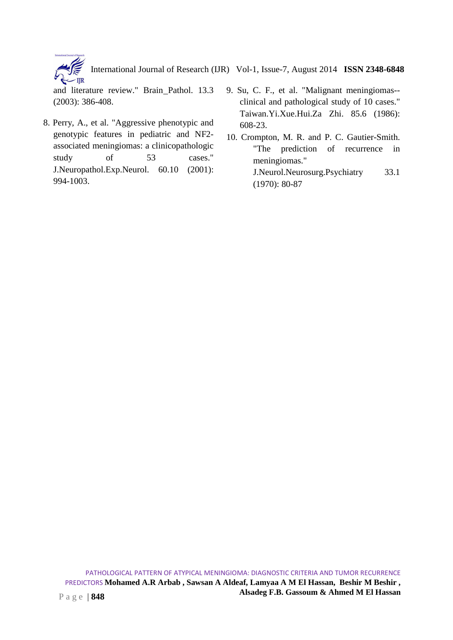International Journal of Research (IJR) Vol-1, Issue-7, August 2014 **ISSN 2348-6848**  $\overline{\text{IIR}}$ 

and literature review." Brain Pathol. 13.3 (2003): 386-408.

- 8. Perry, A., et al. "Aggressive phenotypic and genotypic features in pediatric and NF2 associated meningiomas: a clinicopathologic study of 53 cases." J.Neuropathol.Exp.Neurol. 60.10 (2001): 994-1003.
- 9. Su, C. F., et al. "Malignant meningiomas- clinical and pathological study of 10 cases." Taiwan.Yi.Xue.Hui.Za Zhi. 85.6 (1986): 608-23.
- 10. Crompton, M. R. and P. C. Gautier-Smith. "The prediction of recurrence in meningiomas." J.Neurol.Neurosurg.Psychiatry 33.1 (1970): 80-87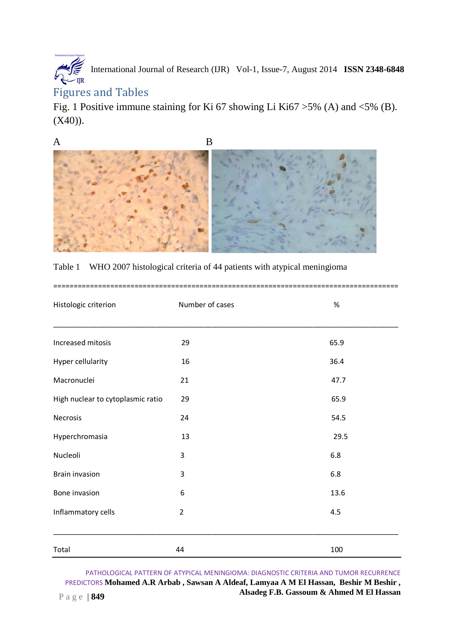# $\sum_{\text{IJR}}$ International Journal of Research (IJR) Vol-1, Issue-7, August 2014 **ISSN 2348-6848**

### Figures and Tables

Fig. 1 Positive immune staining for Ki 67 showing Li Ki67 >5% (A) and <5% (B).  $(X40)$ ).



|  |  | Table 1 WHO 2007 histological criteria of 44 patients with atypical meningioma |  |
|--|--|--------------------------------------------------------------------------------|--|
|  |  |                                                                                |  |

| Histologic criterion              | Number of cases | $\%$ |
|-----------------------------------|-----------------|------|
|                                   |                 |      |
| Increased mitosis                 | 29              | 65.9 |
| Hyper cellularity                 | 16              | 36.4 |
| Macronuclei                       | 21              | 47.7 |
| High nuclear to cytoplasmic ratio | 29              | 65.9 |
| Necrosis                          | 24              | 54.5 |
| Hyperchromasia                    | 13              | 29.5 |
| Nucleoli                          | 3               | 6.8  |
| <b>Brain invasion</b>             | 3               | 6.8  |
| Bone invasion                     | 6               | 13.6 |
| Inflammatory cells                | $\overline{2}$  | 4.5  |
|                                   |                 |      |
| Total                             | 44              | 100  |

PATHOLOGICAL PATTERN OF ATYPICAL MENINGIOMA: DIAGNOSTIC CRITERIA AND TUMOR RECURRENCE PREDICTORS **Mohamed A.R Arbab , Sawsan A Aldeaf, Lamyaa A M El Hassan, Beshir M Beshir , Alsadeg F.B. Gassoum & Ahmed M El Hassan Alsadeg F.B. Gassoum & Ahmed M El Hassan**